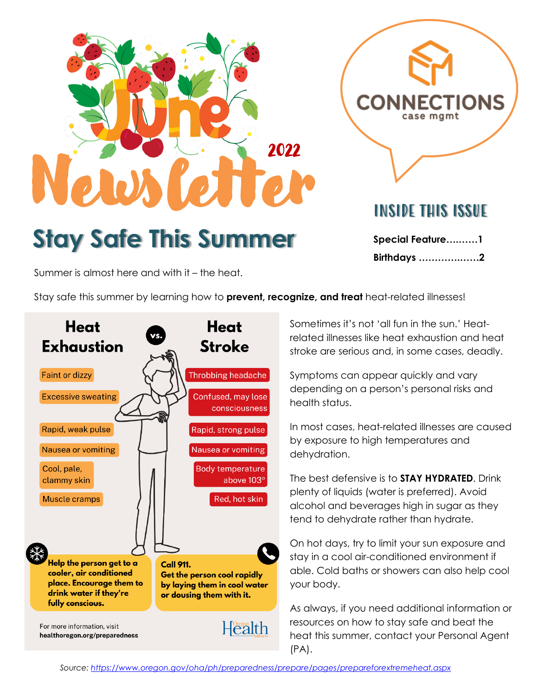

**Stay Safe This Summer**

INSIDE THIS ISSUE

**TIONS** 

**Special Feature….……1 Birthdays ………….……2**

Summer is almost here and with it – the heat.

Stay safe this summer by learning how to **prevent, recognize, and treat** heat-related illnesses!



Sometimes it's not 'all fun in the sun.' Heatrelated illnesses like heat exhaustion and heat stroke are serious and, in some cases, deadly.

Symptoms can appear quickly and vary depending on a person's personal risks and health status.

In most cases, heat-related illnesses are caused by exposure to high temperatures and dehydration.

The best defensive is to **STAY HYDRATED**. Drink plenty of liquids (water is preferred). Avoid alcohol and beverages high in sugar as they tend to dehydrate rather than hydrate.

On hot days, try to limit your sun exposure and stay in a cool air-conditioned environment if able. Cold baths or showers can also help cool your body.

As always, if you need additional information or resources on how to stay safe and beat the heat this summer, contact your Personal Agent (PA).